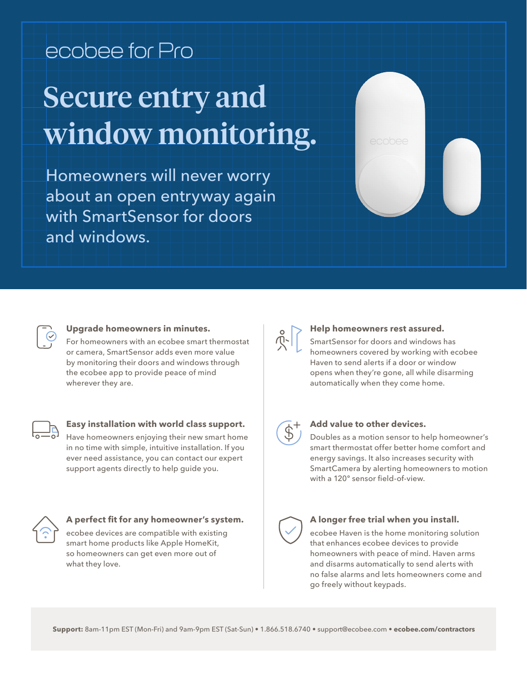# ecobee for Pro Secure entry and window monitoring.

Homeowners will never worry about an open entryway again with SmartSensor for doors and windows.



# **Upgrade homeowners in minutes.**

For homeowners with an ecobee smart thermostat or camera, SmartSensor adds even more value by monitoring their doors and windows through the ecobee app to provide peace of mind wherever they are.

### **Easy installation with world class support.**

Have homeowners enjoying their new smart home in no time with simple, intuitive installation. If you ever need assistance, you can contact our expert support agents directly to help guide you.



# **A perfect fit for any homeowner's system.**

ecobee devices are compatible with existing smart home products like Apple HomeKit, so homeowners can get even more out of what they love.

# **Help homeowners rest assured.**

SmartSensor for doors and windows has homeowners covered by working with ecobee Haven to send alerts if a door or window opens when they're gone, all while disarming automatically when they come home.



#### **Add value to other devices.**

Doubles as a motion sensor to help homeowner's smart thermostat offer better home comfort and energy savings. It also increases security with SmartCamera by alerting homeowners to motion with a 120º sensor field-of-view.



#### **A longer free trial when you install.**

ecobee Haven is the home monitoring solution that enhances ecobee devices to provide homeowners with peace of mind. Haven arms and disarms automatically to send alerts with no false alarms and lets homeowners come and go freely without keypads.

**Support:** 8am-11pm EST (Mon-Fri) and 9am-9pm EST (Sat-Sun) • 1.866.518.6740 • support@ecobee.com • **ecobee.com/contractors**